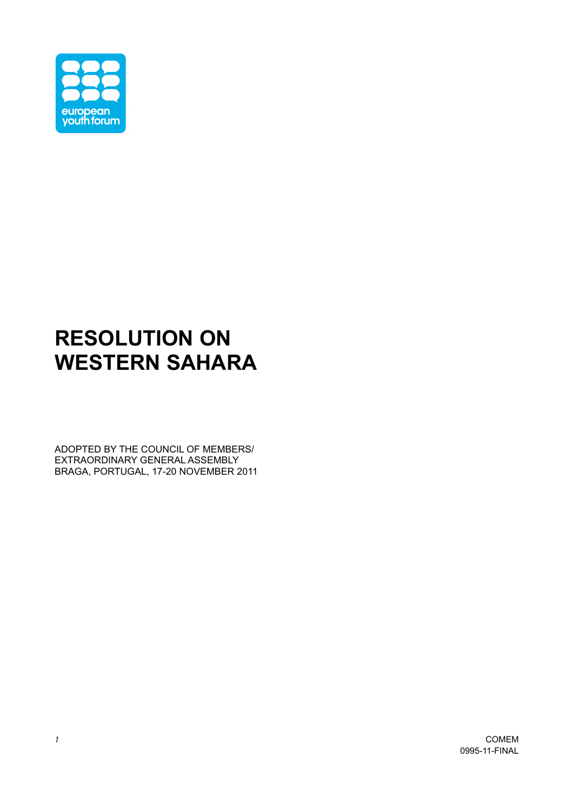

## **RESOLUTION ON WESTERN SAHARA**

ADOPTED BY THE COUNCIL OF MEMBERS/ EXTRAORDINARY GENERAL ASSEMBLY BRAGA, PORTUGAL, 17-20 NOVEMBER 2011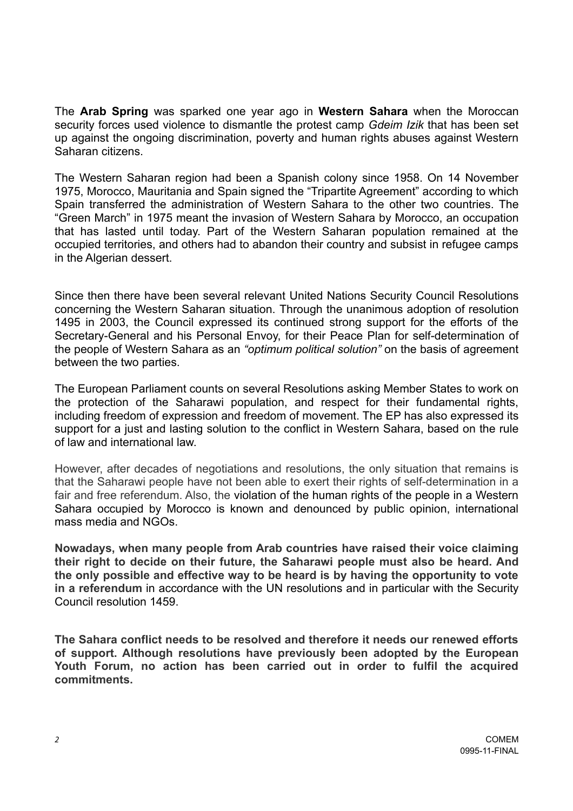The **Arab Spring** was sparked one year ago in **Western Sahara** when the Moroccan security forces used violence to dismantle the protest camp *Gdeim Izik* that has been set up against the ongoing discrimination, poverty and human rights abuses against Western Saharan citizens.

The Western Saharan region had been a Spanish colony since 1958. On 14 November 1975, Morocco, Mauritania and Spain signed the "Tripartite Agreement" according to which Spain transferred the administration of Western Sahara to the other two countries. The "Green March" in 1975 meant the invasion of Western Sahara by Morocco, an occupation that has lasted until today. Part of the Western Saharan population remained at the occupied territories, and others had to abandon their country and subsist in refugee camps in the Algerian dessert.

Since then there have been several relevant United Nations Security Council Resolutions concerning the Western Saharan situation. Through the unanimous adoption of resolution 1495 in 2003, the Council expressed its continued strong support for the efforts of the Secretary-General and his Personal Envoy, for their Peace Plan for self-determination of the people of Western Sahara as an *"optimum political solution"* on the basis of agreement between the two parties.

The European Parliament counts on several Resolutions asking Member States to work on the protection of the Saharawi population, and respect for their fundamental rights, including freedom of expression and freedom of movement. The EP has also expressed its support for a just and lasting solution to the conflict in Western Sahara, based on the rule of law and international law.

However, after decades of negotiations and resolutions, the only situation that remains is that the Saharawi people have not been able to exert their rights of self-determination in a fair and free referendum. Also, the violation of the human rights of the people in a Western Sahara occupied by Morocco is known and denounced by public opinion, international mass media and NGOs.

**Nowadays, when many people from Arab countries have raised their voice claiming their right to decide on their future, the Saharawi people must also be heard. And the only possible and effective way to be heard is by having the opportunity to vote in a referendum** in accordance with the UN resolutions and in particular with the Security Council resolution 1459.

**The Sahara conflict needs to be resolved and therefore it needs our renewed efforts of support. Although resolutions have previously been adopted by the European Youth Forum, no action has been carried out in order to fulfil the acquired commitments.**